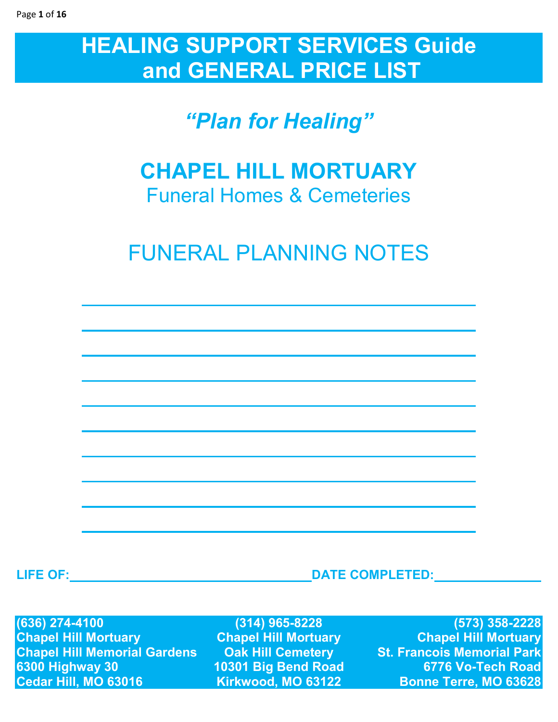# **HEALING SUPPORT SERVICES Guide and GENERAL PRICE LIST**

# *"Plan for Healing"*

## **CHAPEL HILL MORTUARY**  Funeral Homes & Cemeteries

# FUNERAL PLANNING NOTES

**LIFE OF: DATE COMPLETED:** 

**(636) 274-4100 (314) 965-8228 (573) 358-2228 Chapel Hill Mortuary Chapel Hill Mortuary Chapel Hill Mortuary Chapel Hill Memorial Gardens 6300 Highway 30 6300 Highway 30 10301 Big Bend Road 6776 Vo-Tech Road** 

**Bonne Terre, MO 63628**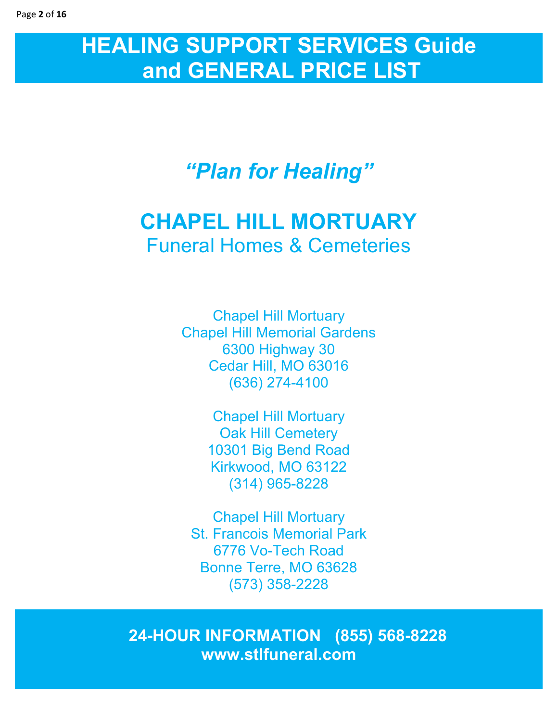# **HEALING SUPPORT SERVICES Guide and GENERAL PRICE LIST**

# *"Plan for Healing"*

## **CHAPEL HILL MORTUARY**  Funeral Homes & Cemeteries

Chapel Hill Mortuary Chapel Hill Memorial Gardens 6300 Highway 30 Cedar Hill, MO 63016 (636) 274-4100

> Chapel Hill Mortuary Oak Hill Cemetery 10301 Big Bend Road Kirkwood, MO 63122 (314) 965-8228

Chapel Hill Mortuary St. Francois Memorial Park 6776 Vo-Tech Road Bonne Terre, MO 63628 (573) 358-2228

**2424-HOUR INFORMATION (855) 568-8228 www.stlfuneral.com**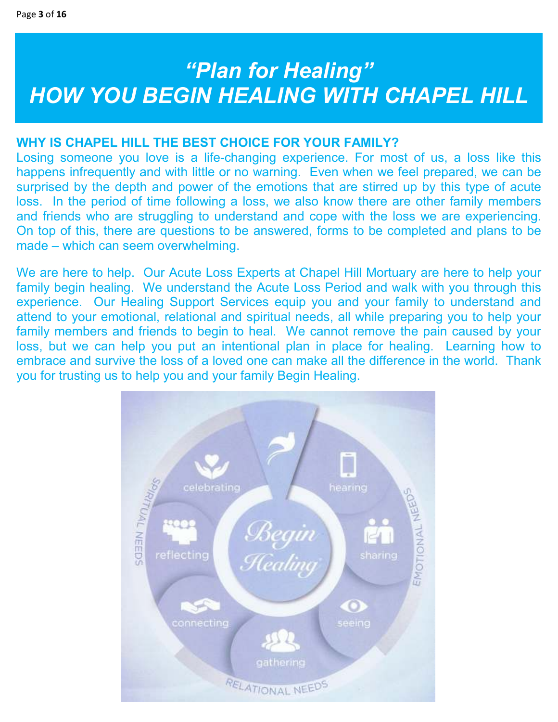# *"Plan for Healing" HOW YOU BEGIN HEALING WITH CHAPEL HILL*

## **WHY IS CHAPEL HILL THE BEST CHOICE FOR YOUR FAMILY?**

Losing someone you love is a life-changing experience. For most of us, a loss like this happens infrequently and with little or no warning. Even when we feel prepared, we can be surprised by the depth and power of the emotions that are stirred up by this type of acute loss. In the period of time following a loss, we also know there are other family members and friends who are struggling to understand and cope with the loss we are experiencing. On top of this, there are questions to be answered, forms to be completed and plans to be made – which can seem overwhelming.

We are here to help. Our Acute Loss Experts at Chapel Hill Mortuary are here to help your family begin healing. We understand the Acute Loss Period and walk with you through this experience. Our Healing Support Services equip you and your family to understand and attend to your emotional, relational and spiritual needs, all while preparing you to help your family members and friends to begin to heal. We cannot remove the pain caused by your loss, but we can help you put an intentional plan in place for healing. Learning how to embrace and survive the loss of a loved one can make all the difference in the world. Thank you for trusting us to help you and your family Begin Healing.

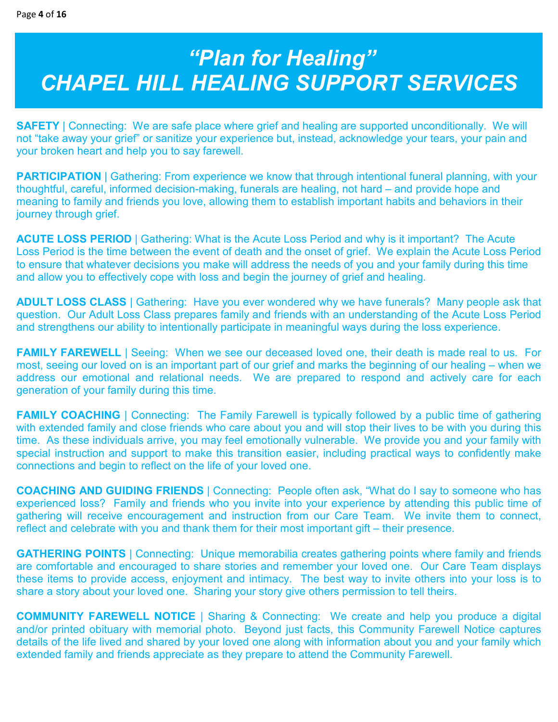# *"Plan for Healing" CHAPEL HILL HEALING SUPPORT SERVICES*

**SAFETY** | Connecting: We are safe place where grief and healing are supported unconditionally. We will not "take away your grief" or sanitize your experience but, instead, acknowledge your tears, your pain and your broken heart and help you to say farewell.

**PARTICIPATION** | Gathering: From experience we know that through intentional funeral planning, with your thoughtful, careful, informed decision-making, funerals are healing, not hard – and provide hope and meaning to family and friends you love, allowing them to establish important habits and behaviors in their journey through grief.

**ACUTE LOSS PERIOD** | Gathering: What is the Acute Loss Period and why is it important? The Acute Loss Period is the time between the event of death and the onset of grief. We explain the Acute Loss Period to ensure that whatever decisions you make will address the needs of you and your family during this time and allow you to effectively cope with loss and begin the journey of grief and healing.

**ADULT LOSS CLASS** | Gathering: Have you ever wondered why we have funerals? Many people ask that question. Our Adult Loss Class prepares family and friends with an understanding of the Acute Loss Period and strengthens our ability to intentionally participate in meaningful ways during the loss experience.

**FAMILY FAREWELL** | Seeing: When we see our deceased loved one, their death is made real to us. For most, seeing our loved on is an important part of our grief and marks the beginning of our healing – when we address our emotional and relational needs. We are prepared to respond and actively care for each generation of your family during this time.

**FAMILY COACHING** | Connecting: The Family Farewell is typically followed by a public time of gathering with extended family and close friends who care about you and will stop their lives to be with you during this time. As these individuals arrive, you may feel emotionally vulnerable. We provide you and your family with special instruction and support to make this transition easier, including practical ways to confidently make connections and begin to reflect on the life of your loved one.

**COACHING AND GUIDING FRIENDS** | Connecting: People often ask, "What do I say to someone who has experienced loss? Family and friends who you invite into your experience by attending this public time of gathering will receive encouragement and instruction from our Care Team. We invite them to connect, reflect and celebrate with you and thank them for their most important gift – their presence.

**GATHERING POINTS** | Connecting: Unique memorabilia creates gathering points where family and friends are comfortable and encouraged to share stories and remember your loved one. Our Care Team displays these items to provide access, enjoyment and intimacy. The best way to invite others into your loss is to share a story about your loved one. Sharing your story give others permission to tell theirs.

**COMMUNITY FAREWELL NOTICE** | Sharing & Connecting: We create and help you produce a digital and/or printed obituary with memorial photo. Beyond just facts, this Community Farewell Notice captures details of the life lived and shared by your loved one along with information about you and your family which extended family and friends appreciate as they prepare to attend the Community Farewell.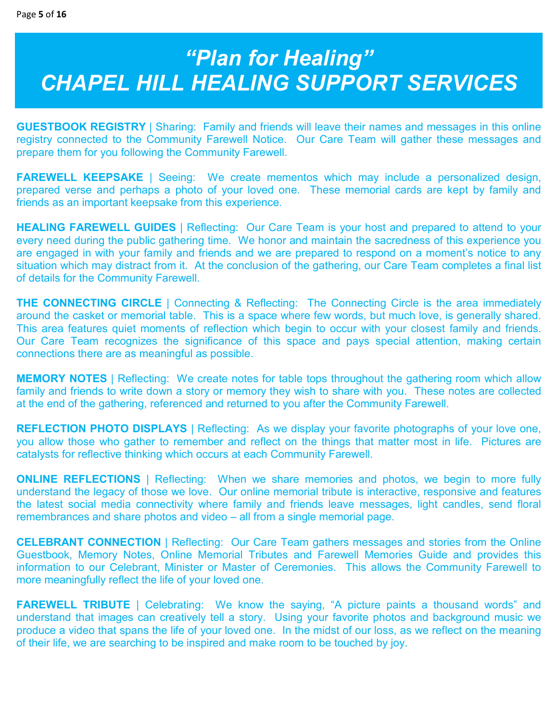# *"Plan for Healing" CHAPEL HILL HEALING SUPPORT SERVICES*

**GUESTBOOK REGISTRY** | Sharing: Family and friends will leave their names and messages in this online registry connected to the Community Farewell Notice. Our Care Team will gather these messages and prepare them for you following the Community Farewell.

**FAREWELL KEEPSAKE** | Seeing: We create mementos which may include a personalized design, prepared verse and perhaps a photo of your loved one. These memorial cards are kept by family and friends as an important keepsake from this experience.

**HEALING FAREWELL GUIDES** | Reflecting: Our Care Team is your host and prepared to attend to your every need during the public gathering time. We honor and maintain the sacredness of this experience you are engaged in with your family and friends and we are prepared to respond on a moment's notice to any situation which may distract from it. At the conclusion of the gathering, our Care Team completes a final list of details for the Community Farewell.

**THE CONNECTING CIRCLE** | Connecting & Reflecting: The Connecting Circle is the area immediately around the casket or memorial table. This is a space where few words, but much love, is generally shared. This area features quiet moments of reflection which begin to occur with your closest family and friends. Our Care Team recognizes the significance of this space and pays special attention, making certain connections there are as meaningful as possible.

**MEMORY NOTES** | Reflecting: We create notes for table tops throughout the gathering room which allow family and friends to write down a story or memory they wish to share with you. These notes are collected at the end of the gathering, referenced and returned to you after the Community Farewell.

**REFLECTION PHOTO DISPLAYS** | Reflecting: As we display your favorite photographs of your love one, you allow those who gather to remember and reflect on the things that matter most in life. Pictures are catalysts for reflective thinking which occurs at each Community Farewell.

**ONLINE REFLECTIONS** | Reflecting: When we share memories and photos, we begin to more fully understand the legacy of those we love. Our online memorial tribute is interactive, responsive and features the latest social media connectivity where family and friends leave messages, light candles, send floral remembrances and share photos and video – all from a single memorial page.

**CELEBRANT CONNECTION** | Reflecting: Our Care Team gathers messages and stories from the Online Guestbook, Memory Notes, Online Memorial Tributes and Farewell Memories Guide and provides this information to our Celebrant, Minister or Master of Ceremonies. This allows the Community Farewell to more meaningfully reflect the life of your loved one.

**FAREWELL TRIBUTE** | Celebrating: We know the saying, "A picture paints a thousand words" and understand that images can creatively tell a story. Using your favorite photos and background music we produce a video that spans the life of your loved one. In the midst of our loss, as we reflect on the meaning of their life, we are searching to be inspired and make room to be touched by joy.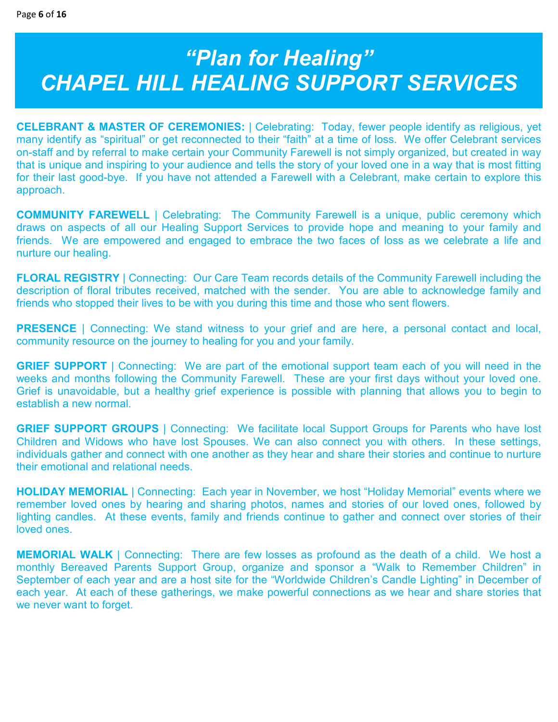# *"Plan for Healing" CHAPEL HILL HEALING SUPPORT SERVICES*

**CELEBRANT & MASTER OF CEREMONIES:** | Celebrating: Today, fewer people identify as religious, yet many identify as "spiritual" or get reconnected to their "faith" at a time of loss. We offer Celebrant services on-staff and by referral to make certain your Community Farewell is not simply organized, but created in way that is unique and inspiring to your audience and tells the story of your loved one in a way that is most fitting for their last good-bye. If you have not attended a Farewell with a Celebrant, make certain to explore this approach.

**COMMUNITY FAREWELL** | Celebrating: The Community Farewell is a unique, public ceremony which draws on aspects of all our Healing Support Services to provide hope and meaning to your family and friends. We are empowered and engaged to embrace the two faces of loss as we celebrate a life and nurture our healing.

**FLORAL REGISTRY** | Connecting: Our Care Team records details of the Community Farewell including the description of floral tributes received, matched with the sender. You are able to acknowledge family and friends who stopped their lives to be with you during this time and those who sent flowers.

**PRESENCE** | Connecting: We stand witness to your grief and are here, a personal contact and local, community resource on the journey to healing for you and your family.

**GRIEF SUPPORT** | Connecting: We are part of the emotional support team each of you will need in the weeks and months following the Community Farewell. These are your first days without your loved one. Grief is unavoidable, but a healthy grief experience is possible with planning that allows you to begin to establish a new normal.

**GRIEF SUPPORT GROUPS** | Connecting: We facilitate local Support Groups for Parents who have lost Children and Widows who have lost Spouses. We can also connect you with others. In these settings, individuals gather and connect with one another as they hear and share their stories and continue to nurture their emotional and relational needs.

**HOLIDAY MEMORIAL** | Connecting: Each year in November, we host "Holiday Memorial" events where we remember loved ones by hearing and sharing photos, names and stories of our loved ones, followed by lighting candles. At these events, family and friends continue to gather and connect over stories of their loved ones.

**MEMORIAL WALK** | Connecting: There are few losses as profound as the death of a child. We host a monthly Bereaved Parents Support Group, organize and sponsor a "Walk to Remember Children" in September of each year and are a host site for the "Worldwide Children's Candle Lighting" in December of each year. At each of these gatherings, we make powerful connections as we hear and share stories that we never want to forget.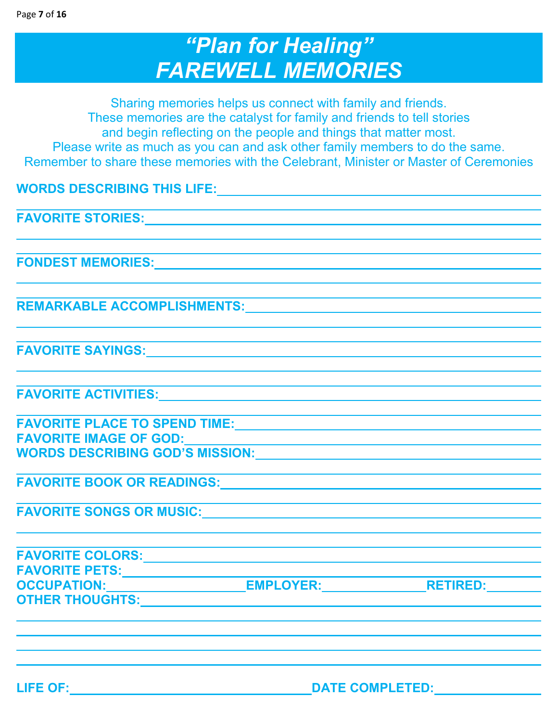L

## *"Plan for Healing" FAREWELL MEMORIES*

Sharing memories helps us connect with family and friends. These memories are the catalyst for family and friends to tell stories and begin reflecting on the people and things that matter most. Please write as much as you can and ask other family members to do the same. Remember to share these memories with the Celebrant, Minister or Master of Ceremonies

**WORDS DESCRIBING THIS LIFE:**

**FAVORITE STORIES:**

**FONDEST MEMORIES:** 

**REMARKABLE ACCOMPLISHMENTS:**

**FAVORITE SAYINGS:**

**FAVORITE ACTIVITIES:**

**FAVORITE PLACE TO SPEND TIME: FAVORITE IMAGE OF GOD: WORDS DESCRIBING GOD'S MISSION:**

L **FAVORITE BOOK OR READINGS:** 

**FAVORITE SONGS OR MUSIC:**

| <b>FAVORITE COLORS:</b> |                  |                 |
|-------------------------|------------------|-----------------|
| <b>FAVORITE PETS:</b>   |                  |                 |
| <b>OCCUPATION:</b>      | <b>EMPLOYER:</b> | <b>RETIRED:</b> |
| <b>OTHER THOUGHTS:</b>  |                  |                 |

l,

**LIFE OF: DATE COMPLETED:**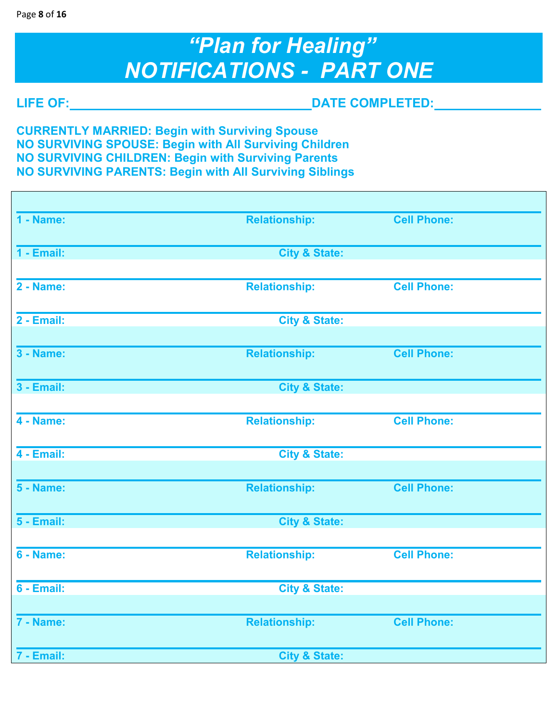# *"Plan for Healing" NOTIFICATIONS - PART ONE*

r

**LIFE OF: DATE COMPLETED:** 

**CURRENTLY MARRIED: Begin with Surviving Spouse NO SURVIVING SPOUSE: Begin with All Surviving Children NO SURVIVING CHILDREN: Begin with Surviving Parents NO SURVIVING PARENTS: Begin with All Surviving Siblings** 

| 1 - Name:        | <b>Relationship:</b>     | <b>Cell Phone:</b> |
|------------------|--------------------------|--------------------|
| $1 -$ Email:     | <b>City &amp; State:</b> |                    |
|                  |                          |                    |
| <b>2 - Name:</b> | <b>Relationship:</b>     | <b>Cell Phone:</b> |
| $2 -$ Email:     | <b>City &amp; State:</b> |                    |
|                  |                          |                    |
| <b>3 - Name:</b> | <b>Relationship:</b>     | <b>Cell Phone:</b> |
| $3 -$ Email:     | <b>City &amp; State:</b> |                    |
|                  |                          |                    |
| <b>4 - Name:</b> | <b>Relationship:</b>     | <b>Cell Phone:</b> |
| $4 -$ Email:     | <b>City &amp; State:</b> |                    |
|                  |                          |                    |
| <b>5 - Name:</b> | <b>Relationship:</b>     | <b>Cell Phone:</b> |
| $5 -$ Email:     | <b>City &amp; State:</b> |                    |
|                  |                          |                    |
| <b>6 - Name:</b> | <b>Relationship:</b>     | <b>Cell Phone:</b> |
| 6 - Email:       | <b>City &amp; State:</b> |                    |
|                  |                          |                    |
| $7 - Name$       | <b>Relationship:</b>     | <b>Cell Phone:</b> |
| 7 - Email:       | <b>City &amp; State:</b> |                    |
|                  |                          |                    |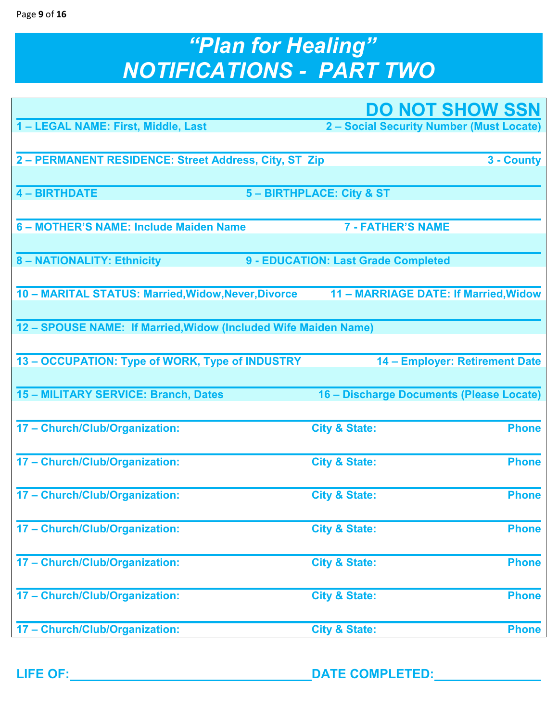### Page **9** of **16**

# *"Plan for Healing" NOTIFICATIONS - PART TWO*

|                                                                 |                                          | <b>DO NOT SHOW SSN</b>         |
|-----------------------------------------------------------------|------------------------------------------|--------------------------------|
| 1 - LEGAL NAME: First, Middle, Last                             | 2 - Social Security Number (Must Locate) |                                |
|                                                                 |                                          |                                |
| 2 - PERMANENT RESIDENCE: Street Address, City, ST Zip           |                                          | 3 - County                     |
| <b>4 - BIRTHDATE</b>                                            | 5 - BIRTHPLACE: City & ST                |                                |
|                                                                 |                                          |                                |
| 6 - MOTHER'S NAME: Include Maiden Name                          | <b>7 - FATHER'S NAME</b>                 |                                |
| 8 - NATIONALITY: Ethnicity                                      | 9 - EDUCATION: Last Grade Completed      |                                |
|                                                                 |                                          |                                |
| 10 - MARITAL STATUS: Married, Widow, Never, Divorce             | 11 - MARRIAGE DATE: If Married, Widow    |                                |
| 12 - SPOUSE NAME: If Married, Widow (Included Wife Maiden Name) |                                          |                                |
|                                                                 |                                          |                                |
| 13 - OCCUPATION: Type of WORK, Type of INDUSTRY                 |                                          | 14 - Employer: Retirement Date |
|                                                                 |                                          |                                |
| 15 - MILITARY SERVICE: Branch, Dates                            | 16 - Discharge Documents (Please Locate) |                                |
| 17 - Church/Club/Organization:                                  | <b>City &amp; State:</b>                 | <b>Phone</b>                   |
|                                                                 |                                          |                                |
| 17 - Church/Club/Organization:                                  | <b>City &amp; State:</b>                 | <b>Phone</b>                   |
|                                                                 |                                          |                                |
| 17 - Church/Club/Organization:                                  | <b>City &amp; State:</b>                 | <b>Phone</b>                   |
| 17 - Church/Club/Organization:                                  | <b>City &amp; State:</b>                 | <b>Phone</b>                   |
|                                                                 |                                          |                                |
| 17 - Church/Club/Organization:                                  | <b>City &amp; State:</b>                 | <b>Phone</b>                   |
| 17 - Church/Club/Organization:                                  | <b>City &amp; State:</b>                 | <b>Phone</b>                   |
|                                                                 |                                          |                                |
| 17 - Church/Club/Organization:                                  | <b>City &amp; State:</b>                 | <b>Phone</b>                   |
|                                                                 |                                          |                                |

**LIFE OF: DATE COMPLETED:**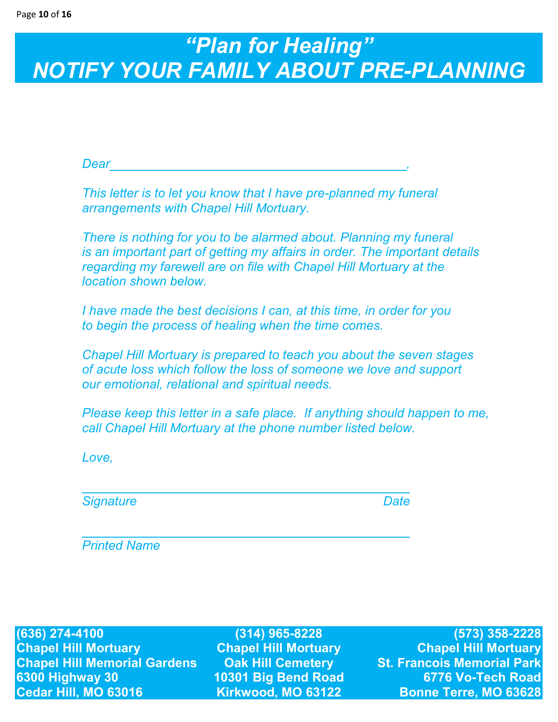# *"Plan for Healing" NOTIFY YOUR FAMILY ABOUT PRE-PLANNING*

*Dear* , *and the article is a set of the article in the article in the article in the article in the article in the article in the article in the article in the article in the article in the article in the article in the* 

 *This letter is to let you know that I have pre-planned my funeral arrangements with Chapel Hill Mortuary.* 

 *There is nothing for you to be alarmed about. Planning my funeral is an important part of getting my affairs in order. The important details regarding my farewell are on file with Chapel Hill Mortuary at the location shown below.* 

 *I have made the best decisions I can, at this time, in order for you to begin the process of healing when the time comes.* 

 *Chapel Hill Mortuary is prepared to teach you about the seven stages of acute loss which follow the loss of someone we love and support our emotional, relational and spiritual needs.* 

 *Please keep this letter in a safe place. If anything should happen to me, call Chapel Hill Mortuary at the phone number listed below.* 

 *Love,* 

*Signature* Date **Date** *Date* 

 *Printed Name* 

**(636) 274-4100 (314) 965-8228 (573) 358-2228 Chapel Hill Mortuary Chapel Hill Mortuary Chapel Hill Mortuary Chapel Hill Memorial Gardens Oak Hill Cemetery St. Francois Memorial Park 6300 Highway 30 10301 Big Bend Road 6776 Vo-Tech Road Cedar Hill, MO 63016 Kirkwood, MO 63122 Bonne Terre, MO 63628**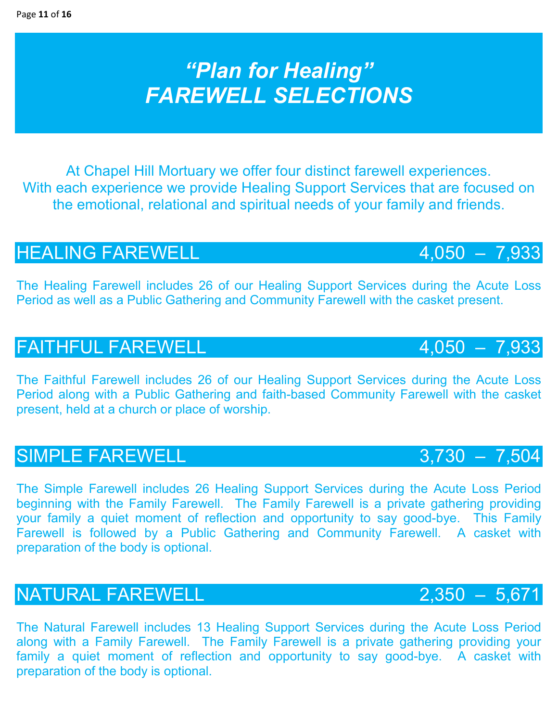# *"Plan for Healing" FAREWELL SELECTIONS*

At Chapel Hill Mortuary we offer four distinct farewell experiences. With each experience we provide Healing Support Services that are focused on the emotional, relational and spiritual needs of your family and friends.

## HEALING FAREWELL 4,050 - 7,933

The Healing Farewell includes 26 of our Healing Support Services during the Acute Loss Period as well as a Public Gathering and Community Farewell with the casket present.

## FAITHFUL FAREWELL **4,050 - 7,933**

The Faithful Farewell includes 26 of our Healing Support Services during the Acute Loss Period along with a Public Gathering and faith-based Community Farewell with the casket present, held at a church or place of worship.

## SIMPLE FAREWELL 3,730 – 7,504

The Simple Farewell includes 26 Healing Support Services during the Acute Loss Period beginning with the Family Farewell. The Family Farewell is a private gathering providing your family a quiet moment of reflection and opportunity to say good-bye. This Family Farewell is followed by a Public Gathering and Community Farewell. A casket with preparation of the body is optional.

## NATURAL FAREWELL 2,350 - 5,671

The Natural Farewell includes 13 Healing Support Services during the Acute Loss Period along with a Family Farewell. The Family Farewell is a private gathering providing your family a quiet moment of reflection and opportunity to say good-bye. A casket with preparation of the body is optional.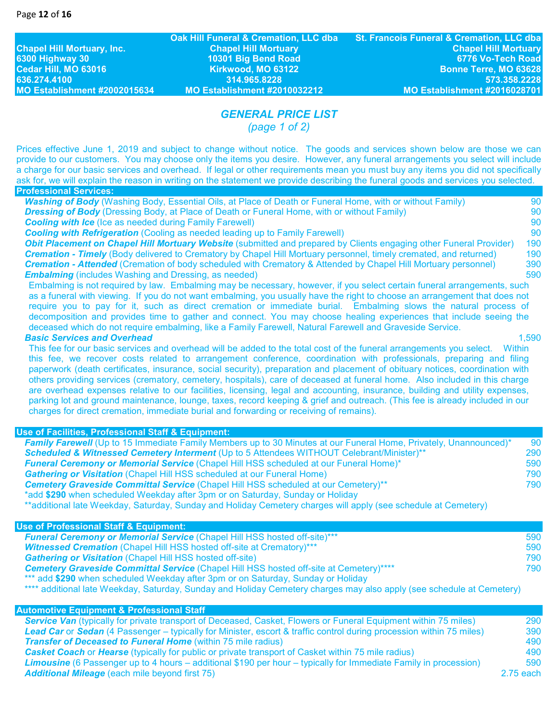**Chapel Hill Mortuary, Inc. Chapel Hill Mortuary Chapel Hill Mortuary 6300 Highway 30 10301 Big Bend Road 6776 Vo-Tech Road 636.274.4100 314.965.8228 573.358.2228 MO Establishment #2002015634 MO Establishment #2010032212 MO Establishment #2016028701** 

## *GENERAL PRICE LIST*

*(page 1 of 2)* 

Prices effective June 1, 2019 and subject to change without notice. The goods and services shown below are those we can provide to our customers. You may choose only the items you desire. However, any funeral arrangements you select will include a charge for our basic services and overhead. If legal or other requirements mean you must buy any items you did not specifically ask for, we will explain the reason in writing on the statement we provide describing the funeral goods and services you selected. **Professional Services:** 

| <b>Washing of Body</b> (Washing Body, Essential Oils, at Place of Death or Funeral Home, with or without Family)           | 90  |
|----------------------------------------------------------------------------------------------------------------------------|-----|
| <b>Dressing of Body</b> (Dressing Body, at Place of Death or Funeral Home, with or without Family)                         | 90  |
| <b>Cooling with Ice</b> (Ice as needed during Family Farewell)                                                             | 90  |
| <b>Cooling with Refrigeration</b> (Cooling as needed leading up to Family Farewell)                                        | 90  |
| Obit Placement on Chapel Hill Mortuary Website (submitted and prepared by Clients engaging other Funeral Provider)         | 190 |
| <b>Cremation - Timely</b> (Body delivered to Crematory by Chapel Hill Mortuary personnel, timely cremated, and returned)   | 190 |
| <b>Cremation - Attended</b> (Cremation of body scheduled with Crematory & Attended by Chapel Hill Mortuary personnel)      | 390 |
| <b>Embalming</b> (includes Washing and Dressing, as needed)                                                                | 590 |
| Embalming is not required by law. Embalming may be necessary, however, if you select certain funeral arrangements, such    |     |
| as a funeral with viewing. If you do not want embalming, you usually have the right to choose an arrangement that does not |     |
| require you to pay for it, such as direct cremation or immediate burial. Embalming slows the natural process of            |     |

*Basic Services and Overhead* 1,590

This fee for our basic services and overhead will be added to the total cost of the funeral arrangements you select. Within this fee, we recover costs related to arrangement conference, coordination with professionals, preparing and filing paperwork (death certificates, insurance, social security), preparation and placement of obituary notices, coordination with others providing services (crematory, cemetery, hospitals), care of deceased at funeral home. Also included in this charge are overhead expenses relative to our facilities, licensing, legal and accounting, insurance, building and utility expenses, parking lot and ground maintenance, lounge, taxes, record keeping & grief and outreach. (This fee is already included in our charges for direct cremation, immediate burial and forwarding or receiving of remains).

decomposition and provides time to gather and connect. You may choose healing experiences that include seeing the

deceased which do not require embalming, like a Family Farewell, Natural Farewell and Graveside Service.

### **Use of Facilities, Professional Staff & Equipment:**

| <b>Family Farewell</b> (Up to 15 Immediate Family Members up to 30 Minutes at our Funeral Home, Privately, Unannounced)* | 90  |
|--------------------------------------------------------------------------------------------------------------------------|-----|
| Scheduled & Witnessed Cemetery Interment (Up to 5 Attendees WITHOUT Celebrant/Minister)**                                | 290 |
| <b>Funeral Ceremony or Memorial Service (Chapel Hill HSS scheduled at our Funeral Home)*</b>                             | 590 |
| <b>Gathering or Visitation (Chapel Hill HSS scheduled at our Funeral Home)</b>                                           | 790 |
| Cemetery Graveside Committal Service (Chapel Hill HSS scheduled at our Cemetery)**                                       | 790 |
| *add \$290 when scheduled Weekday after 3pm or on Saturday, Sunday or Holiday                                            |     |
|                                                                                                                          |     |

\*\*additional late Weekday, Saturday, Sunday and Holiday Cemetery charges will apply (see schedule at Cemetery)

### **Use of Professional Staff & Equipment:**

| <b>Funeral Ceremony or Memorial Service (Chapel Hill HSS hosted off-site)***</b>              | 590 |
|-----------------------------------------------------------------------------------------------|-----|
| <b>Witnessed Cremation</b> (Chapel Hill HSS hosted off-site at Crematory)***                  | 590 |
| <b>Gathering or Visitation</b> (Chapel Hill HSS hosted off-site)                              | 790 |
| <b>Cemetery Graveside Committal Service (Chapel Hill HSS hosted off-site at Cemetery)****</b> | 790 |
| *** add \$290 when scheduled Weekday after 3pm or on Saturday, Sunday or Holiday              |     |

\*\*\*\* additional late Weekday, Saturday, Sunday and Holiday Cemetery charges may also apply (see schedule at Cemetery)

### **Automotive Equipment & Professional Staff**

| Service Van (typically for private transport of Deceased, Casket, Flowers or Funeral Equipment within 75 miles)         | 290       |
|-------------------------------------------------------------------------------------------------------------------------|-----------|
| Lead Car or Sedan (4 Passenger – typically for Minister, escort & traffic control during procession within 75 miles)    | 390       |
| <b>Transfer of Deceased to Funeral Home (within 75 mile radius)</b>                                                     | 490       |
| <b>Casket Coach or Hearse (typically for public or private transport of Casket within 75 mile radius)</b>               | 490       |
| <b>Limousine</b> (6 Passenger up to 4 hours – additional \$190 per hour – typically for Immediate Family in procession) | 590       |
| <b>Additional Mileage</b> (each mile beyond first 75)                                                                   | 2.75 each |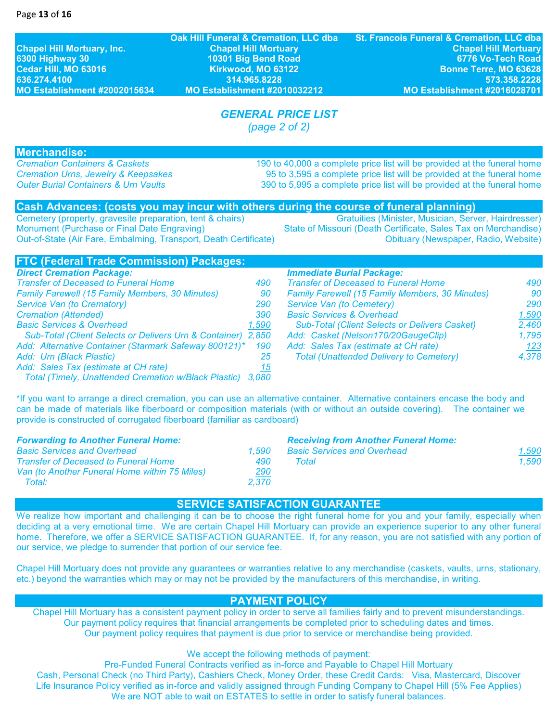**Chapel Hill Mortuary, Inc. Chapel Hill Mortuary Chapel Hill Mortuary 6300 Highway 30 10301 Big Bend Road 6776 Vo-Tech Road 636.274.4100 314.965.8228 573.358.2228 MO Establishment #2002015634 MO Establishment #2010032212 MO Establishment #2016028701** 

**Oak Hill Funeral & Cremation, LLC dba St. Francois Funeral & Cremation, LLC dba Bonne Terre, MO 63628** 

## *GENERAL PRICE LIST*

*(page 2 of 2)* 

**Merchandise:**<br>**Cremation Containers & Caskets** 

*Cremation Containers & Caskets* 190 to 40,000 a complete price list will be provided at the funeral home *Cremation Urns, Jewelry & Keepsakes* 95 to 3,595 a complete price list will be provided at the funeral home *Outer Burial Containers & Urn Vaults* 390 to 5,995 a complete price list will be provided at the funeral home

## **Cash Advances: (costs you may incur with others during the course of funeral planning)**<br>Cemetery (property, gravesite preparation, tent & chairs) *Centulties (Minister, Musician, Server, Hairdresser)*

Cemetery (property, gravesite preparation, tent & chairs)

Monument (Purchase or Final Date Engraving) State of Missouri (Death Certificate, Sales Tax on Merchandise) Out-of-State (Air Fare, Embalming, Transport, Death Certificate) **Charlotter Certificate** Obituary (Newspaper, Radio, Website)

## **FTC (Federal Trade Commission) Packages:**

| <b>Direct Cremation Package:</b>                             |       |
|--------------------------------------------------------------|-------|
| <b>Transfer of Deceased to Funeral Home</b>                  | 490   |
| <b>Family Farewell (15 Family Members, 30 Minutes)</b>       | 90    |
| Service Van (to Crematory)                                   | 290   |
| <b>Cremation (Attended)</b>                                  | 390   |
| <b>Basic Services &amp; Overhead</b>                         | 1,590 |
| Sub-Total (Client Selects or Delivers Urn & Container) 2,850 |       |
| Add: Alternative Container (Starmark Safeway 800121)*        | 190   |
| Add: Urn (Black Plastic)                                     | 25    |
| Add: Sales Tax (estimate at CH rate)                         | 15    |
| <b>Total (Timely, Unattended Cremation w/Black Plastic)</b>  | 3.080 |

### *Direct Cremation Package: Immediate Burial Package:*

| DIFECT CIENTATION FACABUE.                                   |            | <i>IIIIIII</i> culate Duriai Fachaye.                  |            |
|--------------------------------------------------------------|------------|--------------------------------------------------------|------------|
| <b>Transfer of Deceased to Funeral Home</b>                  | 490        | <b>Transfer of Deceased to Funeral Home</b>            | 490        |
| <b>Family Farewell (15 Family Members, 30 Minutes)</b>       | 90         | <b>Family Farewell (15 Family Members, 30 Minutes)</b> | 90         |
| Service Van (to Crematory)                                   | <b>290</b> | Service Van (to Cemetery)                              | <b>290</b> |
| <b>Cremation (Attended)</b>                                  | 390        | <b>Basic Services &amp; Overhead</b>                   | 1,590      |
| <b>Basic Services &amp; Overhead</b>                         | 1,590      | <b>Sub-Total (Client Selects or Delivers Casket)</b>   | 2,460      |
| Sub-Total (Client Selects or Delivers Urn & Container) 2,850 |            | Add: Casket (Nelson170/20GaugeClip)                    | 1,795      |
| Add: Alternative Container (Starmark Safeway 800121)* 190    |            | Add: Sales Tax (estimate at CH rate)                   | 123        |
| Add: Urn (Black Plastic)                                     |            | <b>Total (Unattended Delivery to Cemetery)</b>         | 4,378      |
|                                                              |            |                                                        |            |

\*If you want to arrange a direct cremation, you can use an alternative container. Alternative containers encase the body and can be made of materials like fiberboard or composition materials (with or without an outside covering). The container we provide is constructed of corrugated fiberboard (familiar as cardboard)

| <b>Forwarding to Another Funeral Home:</b>    |       | <b>Receiving from Another Funeral Home:</b> |       |
|-----------------------------------------------|-------|---------------------------------------------|-------|
| <b>Basic Services and Overhead</b>            | 1.590 | <b>Basic Services and Overhead</b>          | 1,590 |
| <b>Transfer of Deceased to Funeral Home</b>   | 490   | Total                                       | 1.590 |
| Van (to Another Funeral Home within 75 Miles) | 290   |                                             |       |
| Total:                                        | 2.370 |                                             |       |
|                                               |       |                                             |       |

### **SERVICE SATISFACTION GUARANTEE**

We realize how important and challenging it can be to choose the right funeral home for you and your family, especially when deciding at a very emotional time. We are certain Chapel Hill Mortuary can provide an experience superior to any other funeral home. Therefore, we offer a SERVICE SATISFACTION GUARANTEE. If, for any reason, you are not satisfied with any portion of our service, we pledge to surrender that portion of our service fee.

Chapel Hill Mortuary does not provide any guarantees or warranties relative to any merchandise (caskets, vaults, urns, stationary, etc.) beyond the warranties which may or may not be provided by the manufacturers of this merchandise, in writing.

## **PAYMENT POLICY**

Chapel Hill Mortuary has a consistent payment policy in order to serve all families fairly and to prevent misunderstandings. Our payment policy requires that financial arrangements be completed prior to scheduling dates and times. Our payment policy requires that payment is due prior to service or merchandise being provided.

We accept the following methods of payment:

Pre-Funded Funeral Contracts verified as in-force and Payable to Chapel Hill Mortuary Cash, Personal Check (no Third Party), Cashiers Check, Money Order, these Credit Cards: Visa, Mastercard, Discover Life Insurance Policy verified as in-force and validly assigned through Funding Company to Chapel Hill (5% Fee Applies) We are NOT able to wait on ESTATES to settle in order to satisfy funeral balances.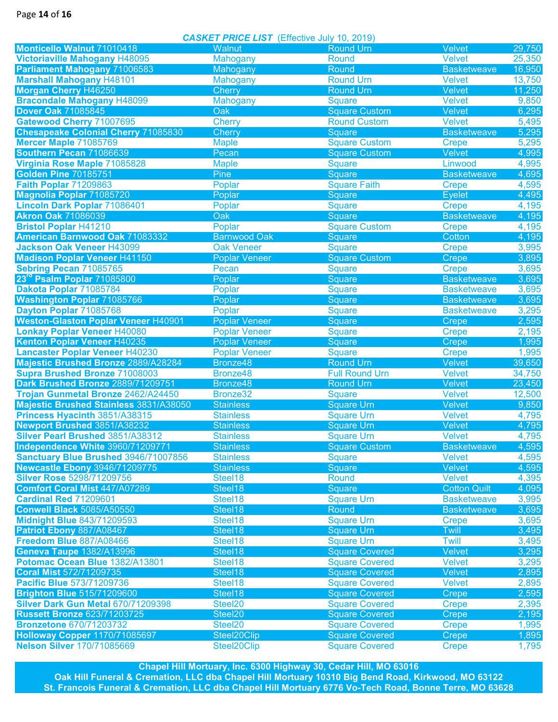Page **14** of **16**

*CASKET PRICE LIST* (Effective July 10, 2019)

|                                            | <b>CASKLI FINCL LISI</b> (LIICCUVE JUIV 10, 2013) |                       |                     |        |
|--------------------------------------------|---------------------------------------------------|-----------------------|---------------------|--------|
| Monticello Walnut 71010418                 | Walnut                                            | <b>Round Urn</b>      | <b>Velvet</b>       | 29,750 |
| <b>Victoriaville Mahogany H48095</b>       | <b>Mahogany</b>                                   | Round                 | <b>Velvet</b>       | 25,350 |
| Parliament Mahogany 71006583               | Mahogany                                          | Round                 | <b>Basketweave</b>  | 16,950 |
| <b>Marshall Mahogany H48101</b>            | <b>Mahogany</b>                                   | <b>Round Urn</b>      | <b>Velvet</b>       | 13,750 |
| <b>Morgan Cherry H46250</b>                | <b>Cherry</b>                                     | <b>Round Urn</b>      | Velvet              | 11,250 |
| <b>Bracondale Mahogany H48099</b>          | <b>Mahogany</b>                                   | <b>Square</b>         | <b>Velvet</b>       | 9,850  |
| <b>Dover Oak 71085845</b>                  | <b>Oak</b>                                        | <b>Square Custom</b>  | <b>Velvet</b>       | 6,295  |
| Gatewood Cherry 71007695                   | Cherry                                            | <b>Round Custom</b>   | <b>Velvet</b>       | 5,495  |
| <b>Chesapeake Colonial Cherry 71085830</b> | Cherry                                            | Square                | <b>Basketweave</b>  | 5,295  |
| Mercer Maple 71085769                      | <b>Maple</b>                                      | <b>Square Custom</b>  | <b>Crepe</b>        | 5,295  |
| Southern Pecan 71086639                    | Pecan                                             | <b>Square Custom</b>  | Velvet              | 4,995  |
| Virginia Rose Maple 71085828               | <b>Maple</b>                                      | <b>Square</b>         | Linwood             | 4,995  |
| <b>Golden Pine 70185751</b>                | Pine                                              | Square                | <b>Basketweave</b>  | 4,695  |
| <b>Faith Poplar 71209863</b>               | Poplar                                            | <b>Square Faith</b>   | <b>Crepe</b>        | 4,595  |
| Magnolia Poplar 71085720                   | Poplar                                            | Square                | <b>Eyelet</b>       | 4,495  |
| <b>Lincoln Dark Poplar 71086401</b>        | Poplar                                            | <b>Square</b>         | <b>Crepe</b>        | 4,195  |
| <b>Akron Oak 71086039</b>                  | Oak                                               | Square                | <b>Basketweave</b>  | 4,195  |
| <b>Bristol Poplar H41210</b>               | Poplar                                            | <b>Square Custom</b>  | <b>Crepe</b>        | 4,195  |
| <b>American Barnwood Oak 71083332</b>      | <b>Barnwood Oak</b>                               | <b>Square</b>         | Cotton              | 4,195  |
| Jackson Oak Veneer H43099                  | <b>Oak Veneer</b>                                 | <b>Square</b>         | <b>Crepe</b>        | 3,995  |
| <b>Madison Poplar Veneer H41150</b>        | <b>Poplar Veneer</b>                              | <b>Square Custom</b>  | Crepe               | 3,895  |
| Sebring Pecan 71085765                     | Pecan                                             | <b>Square</b>         | <b>Crepe</b>        | 3,695  |
| 23rd Psalm Poplar 71085800                 | Poplar                                            | Square                | <b>Basketweave</b>  | 3,695  |
| Dakota Poplar 71085784                     | Poplar                                            | <b>Square</b>         | <b>Basketweave</b>  | 3,695  |
| <b>Washington Poplar 71085766</b>          | Poplar                                            | Square                | <b>Basketweave</b>  | 3,695  |
| Dayton Poplar 71085768                     | Poplar                                            | <b>Square</b>         | <b>Basketweave</b>  | 3,295  |
| <b>Weston-Glaston Poplar Veneer H40901</b> | <b>Poplar Veneer</b>                              | Square                | Crepe               | 2,595  |
| <b>Lonkay Poplar Veneer H40080</b>         | <b>Poplar Veneer</b>                              | <b>Square</b>         | <b>Crepe</b>        | 2,195  |
| Kenton Poplar Veneer H40235                | <b>Poplar Veneer</b>                              | Square                | Crepe               | 1,995  |
| <b>Lancaster Poplar Veneer H40230</b>      | <b>Poplar Veneer</b>                              | <b>Square</b>         | <b>Crepe</b>        | 1,995  |
| Majestic Brushed Bronze 2889/A28284        | Bronze48                                          | <b>Round Urn</b>      | Velvet              | 39,650 |
| Supra Brushed Bronze 71008003              | Bronze48                                          | <b>Full Round Urn</b> | <b>Velvet</b>       | 34,750 |
| Dark Brushed Bronze 2889/71209751          | Bronze48                                          | <b>Round Urn</b>      | Velvet              | 23,450 |
| Trojan Gunmetal Bronze 2462/A24450         | Bronze32                                          | <b>Square</b>         | <b>Velvet</b>       | 12,500 |
| Majestic Brushed Stainless 3831/A38050     | <b>Stainless</b>                                  | <b>Square Urn</b>     | Velvet              | 9,850  |
| Princess Hyacinth 3851/A38315              | <b>Stainless</b>                                  | Square Urn            | <b>Velvet</b>       | 4,795  |
| Newport Brushed 3851/A38232                | <b>Stainless</b>                                  | <b>Square Urn</b>     | Velvet              | 4,795  |
| Silver Pearl Brushed 3851/A38312           | <b>Stainless</b>                                  | <b>Square Urn</b>     | <b>Velvet</b>       | 4,795  |
| Independence White 3960/71209771           | <b>Stainless</b>                                  | <b>Square Custom</b>  | <b>Basketweave</b>  | 4,595  |
| Sanctuary Blue Brushed 3946/71007856       | <b>Stainless</b>                                  | <b>Square</b>         | <b>Velvet</b>       | 4,595  |
| <b>Newcastle Ebony 3946/71209775</b>       | <b>Stainless</b>                                  | Square                | Velvet              | 4,595  |
| <b>Silver Rose 5298/71209756</b>           | Steel18                                           | Round                 | <b>Velvet</b>       | 4,395  |
| <b>Comfort Coral Mist 447/A07289</b>       | Steel18                                           | Square                | <b>Cotton Quilt</b> | 4,095  |
| <b>Cardinal Red 71209601</b>               | Steel18                                           | <b>Square Urn</b>     | <b>Basketweave</b>  | 3,995  |
| <b>Conwell Black 5085/A50550</b>           | Steel18                                           | Round                 | <b>Basketweave</b>  | 3,695  |
| <b>Midnight Blue 843/71209593</b>          | Steel18                                           | <b>Square Urn</b>     | <b>Crepe</b>        | 3,695  |
| Patriot Ebony 887/A08467                   | Steel18                                           | <b>Square Urn</b>     | <b>Twill</b>        | 3,495  |
| Freedom Blue 887/A08466                    | Steel18                                           | <b>Square Urn</b>     | Twill               | 3,495  |
| <b>Geneva Taupe 1382/A13996</b>            | Steel18                                           | <b>Square Covered</b> | Velvet              | 3,295  |
| Potomac Ocean Blue 1382/A13801             | Steel18                                           | <b>Square Covered</b> | <b>Velvet</b>       | 3,295  |
| <b>Coral Mist 572/71209735</b>             | Steel18                                           | <b>Square Covered</b> | Velvet              | 2,895  |
| Pacific Blue 573/71209736                  | Steel18                                           | <b>Square Covered</b> | <b>Velvet</b>       | 2,895  |
| <b>Brighton Blue 515/71209600</b>          | Steel18                                           | <b>Square Covered</b> | <b>Crepe</b>        | 2,595  |
| Silver Dark Gun Metal 670/71209398         | Steel20                                           | <b>Square Covered</b> | <b>Crepe</b>        | 2,395  |
| <b>Russett Bronze 623/71203725</b>         | Steel20                                           | <b>Square Covered</b> | Crepe               | 2,195  |
| <b>Bronzetone 670/71203732</b>             | Steel20                                           | <b>Square Covered</b> | <b>Crepe</b>        | 1,995  |
| <b>Holloway Copper 1170/71085697</b>       | Steel20Clip                                       | <b>Square Covered</b> | Crepe               | 1,895  |
| <b>Nelson Silver 170/71085669</b>          | Steel20Clip                                       | <b>Square Covered</b> | <b>Crepe</b>        | 1,795  |
|                                            |                                                   |                       |                     |        |

**Chapel Hill Mortuary, Inc. 6300 Highway 30, Cedar Hill, MO 63016 Oak Hill Funeral & Cremation, LLC dba Chapel Hill Mortuary 10310 Big Bend Road, Kirkwood, MO 63122 St. Francois Funeral & Cremation, LLC dba Chapel Hill Mortuary 6776 Vo-Tech Road, Bonne Terre, MO 63628**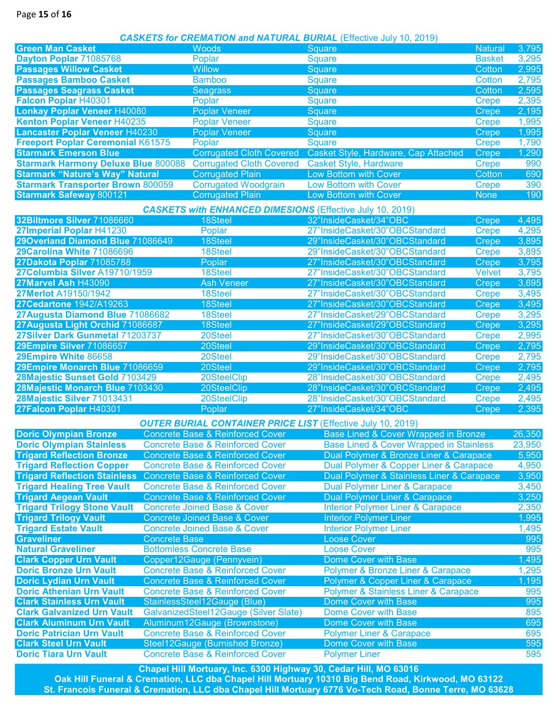### *CASKETS for CREMATION and NATURAL BURIAL* (Effective July 10, 2019)

| <b>Green Man Casket</b>                    |                      | <b>Woods</b>                                                     | Square                                                             |                | 3,795  |
|--------------------------------------------|----------------------|------------------------------------------------------------------|--------------------------------------------------------------------|----------------|--------|
|                                            |                      |                                                                  |                                                                    | <b>Natural</b> |        |
| Dayton Poplar 71085768                     |                      | Poplar                                                           | <b>Square</b>                                                      | <b>Basket</b>  | 3,295  |
| <b>Passages Willow Casket</b>              |                      | <b>Willow</b>                                                    | Square                                                             | Cotton         | 2,995  |
| <b>Passages Bamboo Casket</b>              |                      | <b>Bamboo</b>                                                    | <b>Square</b>                                                      | <b>Cotton</b>  | 2,795  |
| <b>Passages Seagrass Casket</b>            |                      | <b>Seagrass</b>                                                  | Square                                                             | Cotton         | 2,595  |
| Falcon Poplar H40301                       |                      | Poplar                                                           | <b>Square</b>                                                      | <b>Crepe</b>   | 2,395  |
| <b>Lonkay Poplar Veneer H40080</b>         |                      | <b>Poplar Veneer</b>                                             | Square                                                             | Crepe          | 2,195  |
| Kenton Poplar Veneer H40235                |                      | <b>Poplar Veneer</b>                                             | <b>Square</b>                                                      | <b>Crepe</b>   | 1,995  |
| Lancaster Poplar Veneer H40230             |                      | <b>Poplar Veneer</b>                                             | Square                                                             | <b>Crepe</b>   | 1,995  |
| <b>Freeport Poplar Ceremonial K61575</b>   |                      | Poplar                                                           | <b>Square</b>                                                      | <b>Crepe</b>   | 1,790  |
| <b>Starmark Emerson Blue</b>               |                      | <b>Corrugated Cloth Covered</b>                                  | Casket Style, Hardware, Cap Attached                               | <b>Crepe</b>   | 1,290  |
| <b>Starmark Harmony Deluxe Blue 800088</b> |                      | <b>Corrugated Cloth Covered</b>                                  | <b>Casket Style, Hardware</b>                                      | <b>Crepe</b>   | 990    |
| <b>Starmark "Nature's Way" Natural</b>     |                      | <b>Corrugated Plain</b>                                          | Low Bottom with Cover                                              | Cotton         | 690    |
| <b>Starmark Transporter Brown 800059</b>   |                      | <b>Corrugated Woodgrain</b>                                      | <b>Low Bottom with Cover</b>                                       | <b>Crepe</b>   | 390    |
| <b>Starmark Safeway 800121</b>             |                      | <b>Corrugated Plain</b>                                          | Low Bottom with Cover                                              | <b>None</b>    | 190    |
|                                            |                      |                                                                  |                                                                    |                |        |
|                                            |                      | <b>CASKETS with ENHANCED DIMESIONS (Effective July 10, 2019)</b> |                                                                    |                |        |
| 32Biltmore Silver 71086660                 |                      | 18Steel                                                          | 32"InsideCasket/34"OBC                                             | Crepe          | 4,495  |
| 27Imperial Poplar H41230                   |                      | Poplar                                                           | 27"InsideCasket/30"OBCStandard                                     | <b>Crepe</b>   | 4,295  |
| 29Overland Diamond Blue 71086649           |                      | 18Steel                                                          | 29"InsideCasket/30"OBCStandard                                     | <b>Crepe</b>   | 3,895  |
| 29Carolina White 71086696                  |                      | 18Steel                                                          | 29"InsideCasket/30"OBCStandard                                     | <b>Crepe</b>   | 3,895  |
| 27Dakota Poplar 71085788                   |                      | Poplar                                                           | 27"InsideCasket/30"OBCStandard                                     | <b>Crepe</b>   | 3,795  |
| 27Columbia Silver A19710/1959              |                      | 18Steel                                                          | 27"InsideCasket/30"OBCStandard                                     | <b>Velvet</b>  | 3,795  |
| 27Marvel Ash H43090                        |                      | <b>Ash Veneer</b>                                                | 27"InsideCasket/30"OBCStandard                                     | Crepe          | 3,695  |
| 27Merlot A19150/1942                       |                      | 18Steel                                                          | 27"InsideCasket/30"OBCStandard                                     | <b>Crepe</b>   | 3,495  |
| 27Cedartone 1942/A19263                    |                      | 18Steel                                                          | 27"InsideCasket/30"OBCStandard                                     | Crepe          | 3,495  |
| 27 Augusta Diamond Blue 71086682           |                      | 18Steel                                                          | 27"InsideCasket/29"OBCStandard                                     | <b>Crepe</b>   | 3,295  |
| 27Augusta Light Orchid 71086687            |                      | 18Steel                                                          | 27"InsideCasket/29"OBCStandard                                     | Crepe          | 3,295  |
| 27Silver Dark Gunmetal 71203737            |                      | 20Steel                                                          | 27"InsideCasket/30"OBCStandard                                     | <b>Crepe</b>   | 2,995  |
| 29Empire Silver 71086657                   |                      | 20Steel                                                          | 29"InsideCasket/30"OBCStandard                                     | Crepe          | 2,795  |
| 29Empire White 86658                       |                      | 20Steel                                                          | 29"InsideCasket/30"OBCStandard                                     | <b>Crepe</b>   | 2,795  |
| 29Empire Monarch Blue 71086659             |                      | 20Steel                                                          | 29"InsideCasket/30"OBCStandard                                     | Crepe          | 2,795  |
| 28Majestic Sunset Gold 7103429             |                      | 20SteelClip                                                      | 28"InsideCasket/30"OBCStandard                                     |                | 2,495  |
|                                            |                      |                                                                  |                                                                    | <b>Crepe</b>   |        |
| 28Majestic Monarch Blue 7103430            |                      | 20SteelClip                                                      | 28"InsideCasket/30"OBCStandard                                     | <b>Crepe</b>   | 2,495  |
| 28Majestic Silver 71013431                 |                      | 20SteelClip                                                      | 28"InsideCasket/30"OBCStandard                                     | <b>Crepe</b>   | 2,495  |
| 27Falcon Poplar H40301                     |                      | Poplar                                                           | 27"InsideCasket/34"OBC                                             | Crepe          | 2,395  |
|                                            |                      |                                                                  | <b>OUTER BURIAL CONTAINER PRICE LIST (Effective July 10, 2019)</b> |                |        |
| <b>Doric Olympian Bronze</b>               |                      | <b>Concrete Base &amp; Reinforced Cover</b>                      | Base Lined & Cover Wrapped in Bronze                               |                | 26,350 |
| <b>Doric Olympian Stainless</b>            |                      | <b>Concrete Base &amp; Reinforced Cover</b>                      | <b>Base Lined &amp; Cover Wrapped in Stainless</b>                 |                | 23,950 |
| <b>Trigard Reflection Bronze</b>           |                      | <b>Concrete Base &amp; Reinforced Cover</b>                      | Dual Polymer & Bronze Liner & Carapace                             |                | 5,950  |
| <b>Trigard Reflection Copper</b>           |                      | <b>Concrete Base &amp; Reinforced Cover</b>                      | Dual Polymer & Copper Liner & Carapace                             |                | 4,950  |
| <b>Trigard Reflection Stainless</b>        |                      | <b>Concrete Base &amp; Reinforced Cover</b>                      | Dual Polymer & Stainless Liner & Carapace                          |                | 3,950  |
| <b>Trigard Healing Tree Vault</b>          |                      | <b>Concrete Base &amp; Reinforced Cover</b>                      | <b>Dual Polymer Liner &amp; Carapace</b>                           |                | 3,450  |
| <b>Trigard Aegean Vault</b>                |                      | <b>Concrete Base &amp; Reinforced Cover</b>                      | Dual Polymer Liner & Carapace                                      |                | 3,250  |
| <b>Trigard Trilogy Stone Vault</b>         |                      | <b>Concrete Joined Base &amp; Cover</b>                          | <b>Interior Polymer Liner &amp; Carapace</b>                       |                | 2,350  |
| <b>Trigard Trilogy Vault</b>               |                      | <b>Concrete Joined Base &amp; Cover</b>                          | <b>Interior Polymer Liner</b>                                      |                | 1,995  |
| <b>Trigard Estate Vault</b>                |                      | <b>Concrete Joined Base &amp; Cover</b>                          | <b>Interior Polymer Liner</b>                                      |                | 1,495  |
| <b>Graveliner</b>                          | <b>Concrete Base</b> |                                                                  | <b>Loose Cover</b>                                                 |                | 995    |
| <b>Natural Graveliner</b>                  |                      | <b>Bottomless Concrete Base</b>                                  | <b>Loose Cover</b>                                                 |                | 995    |
| <b>Clark Copper Urn Vault</b>              |                      | Copper12Gauge (Pennyvein)                                        | Dome Cover with Base                                               |                | 1,495  |
| <b>Doric Bronze Urn Vault</b>              |                      | <b>Concrete Base &amp; Reinforced Cover</b>                      |                                                                    |                | 1,295  |
|                                            |                      |                                                                  | Polymer & Bronze Liner & Carapace                                  |                |        |
| <b>Doric Lydian Urn Vault</b>              |                      | <b>Concrete Base &amp; Reinforced Cover</b>                      | Polymer & Copper Liner & Carapace                                  |                | 1,195  |
| <b>Doric Athenian Urn Vault</b>            |                      | <b>Concrete Base &amp; Reinforced Cover</b>                      | <b>Polymer &amp; Stainless Liner &amp; Carapace</b>                |                | 995    |
| <b>Clark Stainless Urn Vault</b>           |                      | StainlessSteel12Gauge (Blue)                                     | Dome Cover with Base                                               |                | 995    |
| <b>Clark Galvanized Urn Vault</b>          |                      | GalvanizedSteel12Gauge (Silver Slate)                            | <b>Dome Cover with Base</b>                                        |                | 895    |
| <b>Clark Aluminum Urn Vault</b>            |                      | Aluminum12Gauge (Brownstone)                                     | <b>Dome Cover with Base</b>                                        |                | 695    |
| <b>Doric Patrician Urn Vault</b>           |                      | <b>Concrete Base &amp; Reinforced Cover</b>                      | <b>Polymer Liner &amp; Carapace</b>                                |                | 695    |
| <b>Clark Steel Urn Vault</b>               |                      | Steel12Gauge (Burnished Bronze)                                  | <b>Dome Cover with Base</b>                                        |                | 595    |
| <b>Doric Tiara Urn Vault</b>               |                      | <b>Concrete Base &amp; Reinforced Cover</b>                      | <b>Polymer Liner</b>                                               |                | 595    |

**Chapel Hill Mortuary, Inc. 6300 Highway 30, Cedar Hill, MO 63016 Oak Hill Funeral & Cremation, LLC dba Chapel Hill Mortuary 10310 Big Bend Road, Kirkwood, MO 63122 St. Francois Funeral & Cremation, LLC dba Chapel Hill Mortuary 6776 Vo-Tech Road, Bonne Terre, MO 63628**